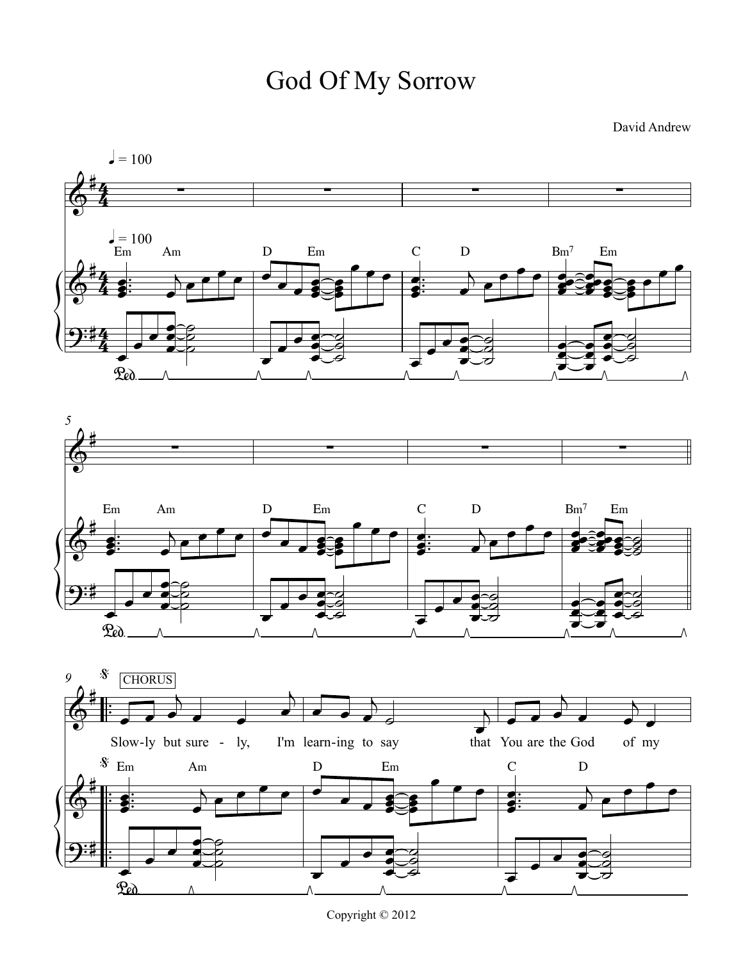David Andrew

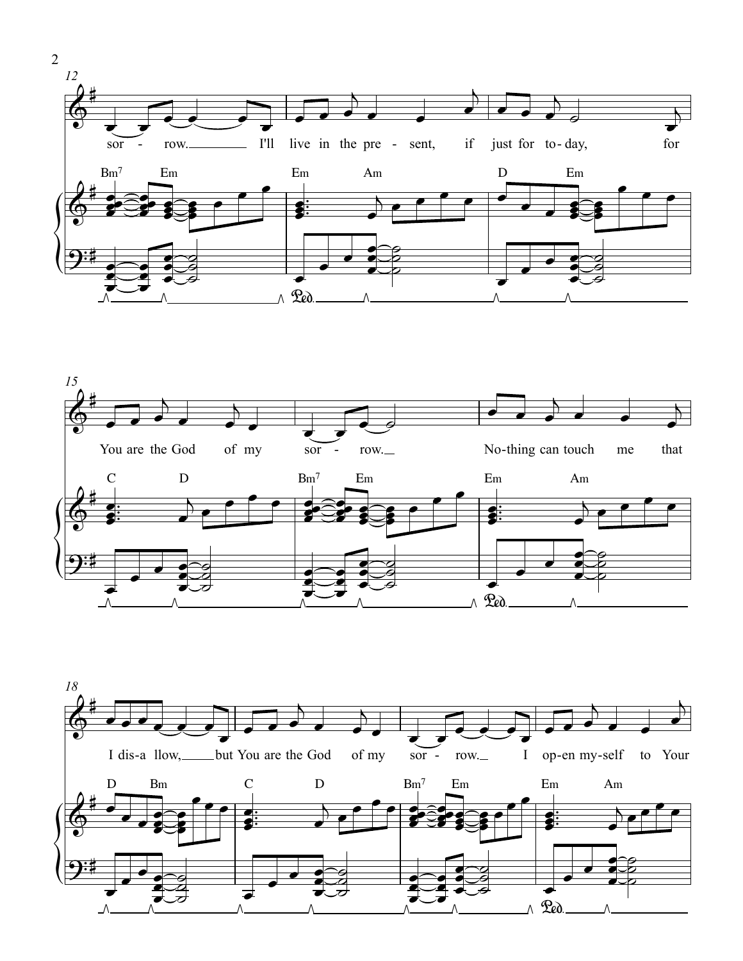



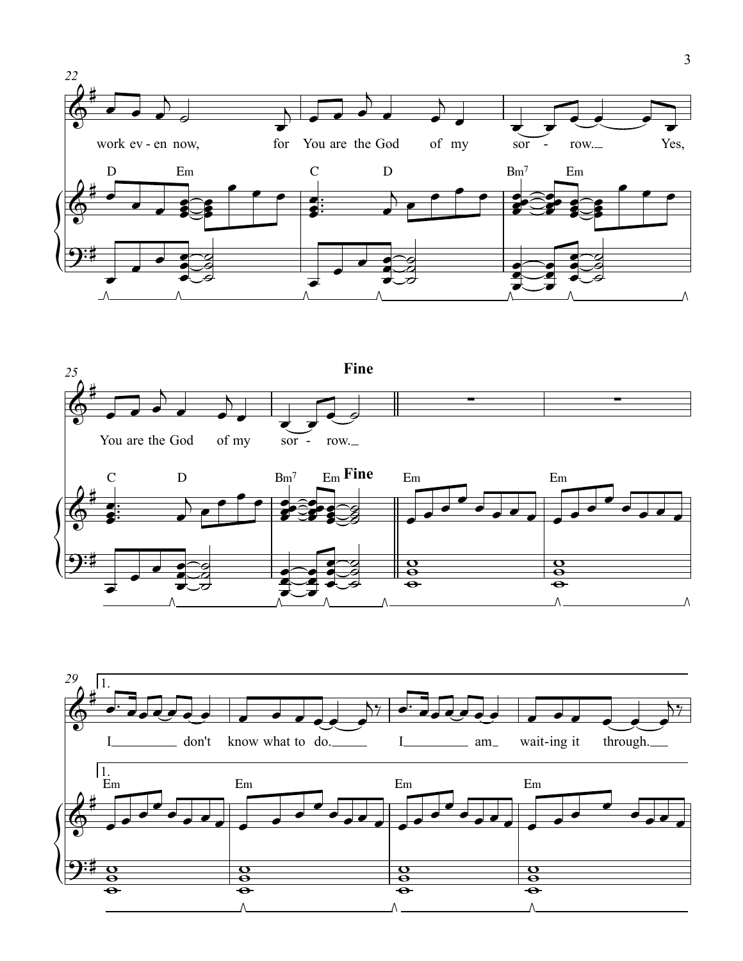





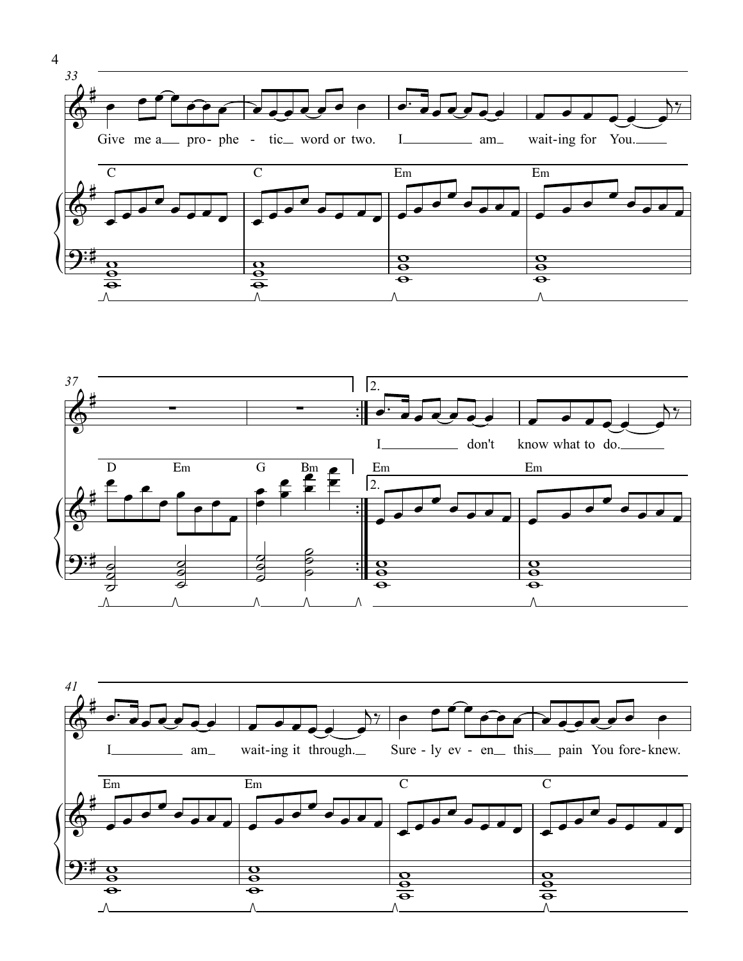





4